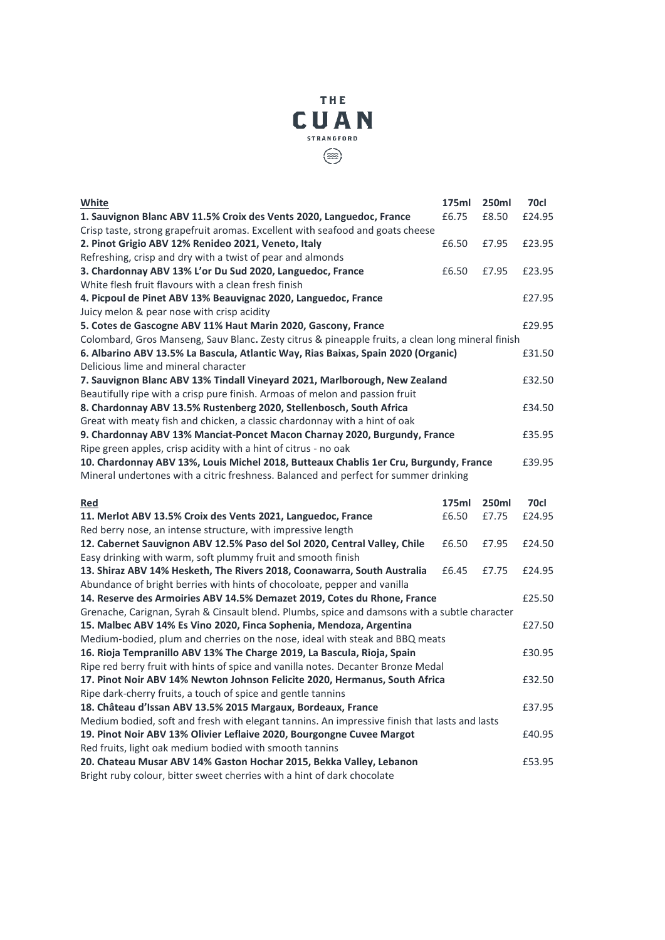

| <b>White</b>                                                                                                                 | 175ml | 250ml | 70cl   |
|------------------------------------------------------------------------------------------------------------------------------|-------|-------|--------|
| 1. Sauvignon Blanc ABV 11.5% Croix des Vents 2020, Languedoc, France                                                         | £6.75 | £8.50 | £24.95 |
| Crisp taste, strong grapefruit aromas. Excellent with seafood and goats cheese                                               |       |       |        |
| 2. Pinot Grigio ABV 12% Renideo 2021, Veneto, Italy                                                                          | £6.50 | £7.95 | £23.95 |
| Refreshing, crisp and dry with a twist of pear and almonds                                                                   |       |       |        |
| 3. Chardonnay ABV 13% L'or Du Sud 2020, Languedoc, France                                                                    | £6.50 | £7.95 | £23.95 |
| White flesh fruit flavours with a clean fresh finish                                                                         |       |       |        |
| 4. Picpoul de Pinet ABV 13% Beauvignac 2020, Languedoc, France                                                               |       |       | £27.95 |
| Juicy melon & pear nose with crisp acidity                                                                                   |       |       |        |
| 5. Cotes de Gascogne ABV 11% Haut Marin 2020, Gascony, France                                                                |       |       | £29.95 |
| Colombard, Gros Manseng, Sauv Blanc. Zesty citrus & pineapple fruits, a clean long mineral finish                            |       |       |        |
| 6. Albarino ABV 13.5% La Bascula, Atlantic Way, Rias Baixas, Spain 2020 (Organic)                                            |       |       | £31.50 |
| Delicious lime and mineral character                                                                                         |       |       |        |
| 7. Sauvignon Blanc ABV 13% Tindall Vineyard 2021, Marlborough, New Zealand                                                   |       |       | £32.50 |
| Beautifully ripe with a crisp pure finish. Armoas of melon and passion fruit                                                 |       |       |        |
| 8. Chardonnay ABV 13.5% Rustenberg 2020, Stellenbosch, South Africa                                                          |       |       | £34.50 |
| Great with meaty fish and chicken, a classic chardonnay with a hint of oak                                                   |       |       |        |
| 9. Chardonnay ABV 13% Manciat-Poncet Macon Charnay 2020, Burgundy, France                                                    |       |       | £35.95 |
| Ripe green apples, crisp acidity with a hint of citrus - no oak                                                              |       |       |        |
| 10. Chardonnay ABV 13%, Louis Michel 2018, Butteaux Chablis 1er Cru, Burgundy, France                                        |       |       | £39.95 |
| Mineral undertones with a citric freshness. Balanced and perfect for summer drinking                                         |       |       |        |
|                                                                                                                              |       |       |        |
|                                                                                                                              |       |       |        |
| <u>Red</u>                                                                                                                   | 175ml | 250ml | 70cl   |
| 11. Merlot ABV 13.5% Croix des Vents 2021, Languedoc, France                                                                 | £6.50 | £7.75 | £24.95 |
| Red berry nose, an intense structure, with impressive length                                                                 |       |       |        |
| 12. Cabernet Sauvignon ABV 12.5% Paso del Sol 2020, Central Valley, Chile                                                    | £6.50 | £7.95 | £24.50 |
| Easy drinking with warm, soft plummy fruit and smooth finish                                                                 |       |       |        |
| 13. Shiraz ABV 14% Hesketh, The Rivers 2018, Coonawarra, South Australia                                                     | £6.45 | £7.75 | £24.95 |
| Abundance of bright berries with hints of chocoloate, pepper and vanilla                                                     |       |       |        |
| 14. Reserve des Armoiries ABV 14.5% Demazet 2019, Cotes du Rhone, France                                                     |       |       | £25.50 |
| Grenache, Carignan, Syrah & Cinsault blend. Plumbs, spice and damsons with a subtle character                                |       |       |        |
| 15. Malbec ABV 14% Es Vino 2020, Finca Sophenia, Mendoza, Argentina                                                          |       |       | £27.50 |
| Medium-bodied, plum and cherries on the nose, ideal with steak and BBQ meats                                                 |       |       |        |
| 16. Rioja Tempranillo ABV 13% The Charge 2019, La Bascula, Rioja, Spain                                                      |       |       | £30.95 |
| Ripe red berry fruit with hints of spice and vanilla notes. Decanter Bronze Medal                                            |       |       | £32.50 |
| 17. Pinot Noir ABV 14% Newton Johnson Felicite 2020, Hermanus, South Africa                                                  |       |       |        |
| Ripe dark-cherry fruits, a touch of spice and gentle tannins<br>18. Château d'Issan ABV 13.5% 2015 Margaux, Bordeaux, France |       |       | £37.95 |
| Medium bodied, soft and fresh with elegant tannins. An impressive finish that lasts and lasts                                |       |       |        |
| 19. Pinot Noir ABV 13% Olivier Leflaive 2020, Bourgongne Cuvee Margot                                                        |       |       | £40.95 |
| Red fruits, light oak medium bodied with smooth tannins                                                                      |       |       |        |
| 20. Chateau Musar ABV 14% Gaston Hochar 2015, Bekka Valley, Lebanon                                                          |       |       | £53.95 |